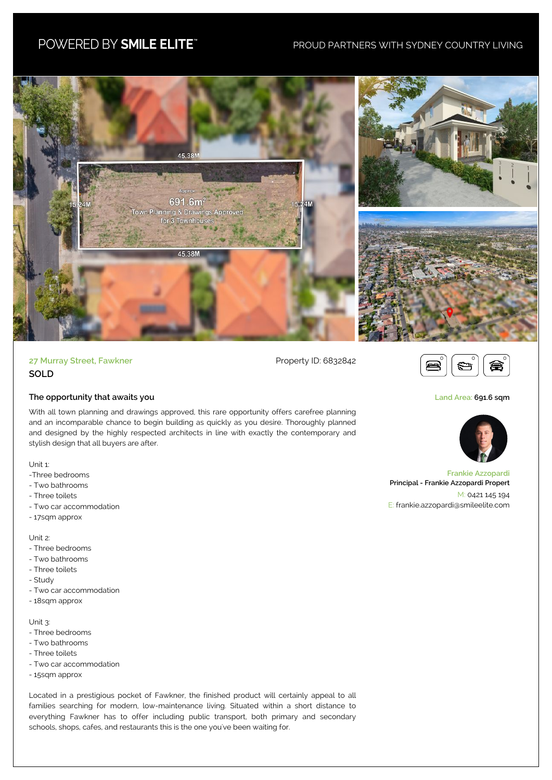## POWERED BY SMILE ELITE"

## PROUD PARTNERS WITH SYDNEY COUNTRY LIVING



27 Murray Street, Fawkner **Property ID: 6832842 SOLD**

## **The opportunity that awaits you**

With all town planning and drawings approved, this rare opportunity offers carefree planning and an incomparable chance to begin building as quickly as you desire. Thoroughly planned and designed by the highly respected architects in line with exactly the contemporary and stylish design that all buyers are after.

Unit 1:

- -Three bedrooms
- Two bathrooms
- Three toilets
- Two car accommodation
- 17sqm approx

## Unit 2:

- Three bedrooms
- Two bathrooms
- Three toilets
- Study
- Two car accommodation
- 18sqm approx

Unit 3:

- Three bedrooms
- Two bathrooms
- Three toilets
- Two car accommodation
- 15sqm approx

Located in a prestigious pocket of Fawkner, the finished product will certainly appeal to all families searching for modern, low-maintenance living. Situated within a short distance to everything Fawkner has to offer including public transport, both primary and secondary schools, shops, cafes, and restaurants this is the one you've been waiting for.



**Land Area: 691.6 sqm**



**Frankie Azzopardi Principal - Frankie Azzopardi Propert** M: 0421 145 194 E: frankie.azzopardi@smileelite.com